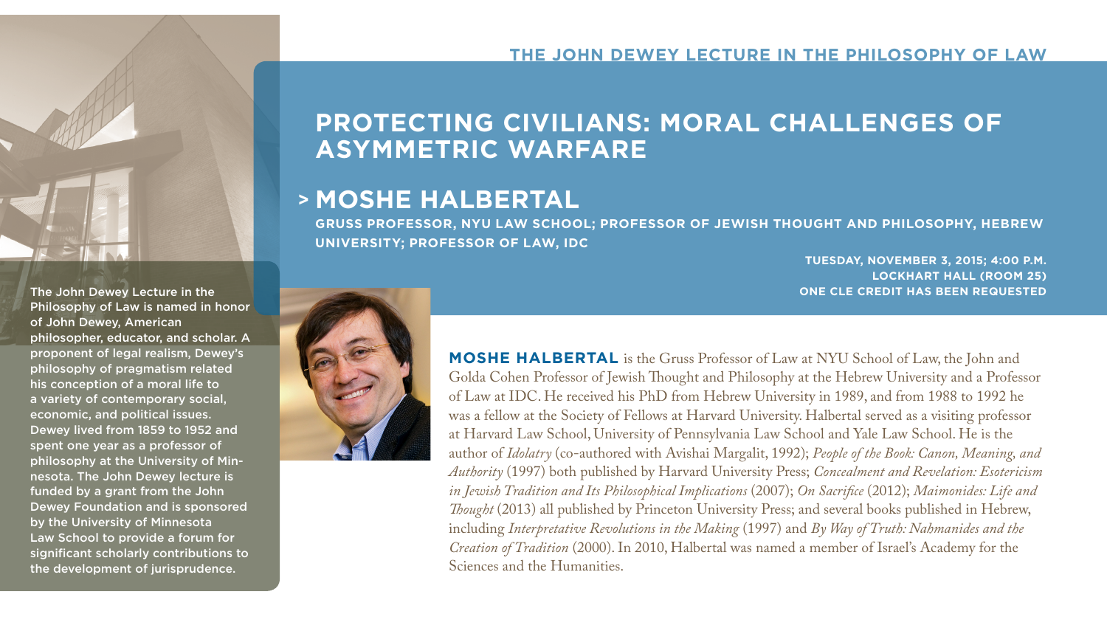### **THE JOHN DEWEY LECTURE IN THE PHILOSOPHY OF LAW**

# **PROTECTING CIVILIANS: MORAL CHALLENGES OF ASYMMETRIC WARFARE**

## **MOSHE HALBERTAL >**

**GRUSS PROFESSOR, NYU LAW SCHOOL; PROFESSOR OF JEWISH THOUGHT AND PHILOSOPHY, HEBREW UNIVERSITY; PROFESSOR OF LAW, IDC**

> **TUESDAY, NOVEMBER 3, 2015; 4:00 P.M. LOCKHART HALL (ROOM 25) ONE CLE CREDIT HAS BEEN REQUESTED**

The John Dewey Lecture in the Philosophy of Law is named in honor of John Dewey, American philosopher, educator, and scholar. A proponent of legal realism, Dewey's philosophy of pragmatism related his conception of a moral life to a variety of contemporary social, economic, and political issues. Dewey lived from 1859 to 1952 and spent one year as a professor of philosophy at the University of Minnesota. The John Dewey lecture is funded by a grant from the John Dewey Foundation and is sponsored by the University of Minnesota Law School to provide a forum for significant scholarly contributions to the development of jurisprudence.



**MOSHE HALBERTAL** is the Gruss Professor of Law at NYU School of Law, the John and Golda Cohen Professor of Jewish Thought and Philosophy at the Hebrew University and a Professor of Law at IDC. He received his PhD from Hebrew University in 1989, and from 1988 to 1992 he was a fellow at the Society of Fellows at Harvard University. Halbertal served as a visiting professor at Harvard Law School, University of Pennsylvania Law School and Yale Law School. He is the author of *Idolatry* (co-authored with Avishai Margalit, 1992); *People of the Book: Canon, Meaning, and Authority* (1997) both published by Harvard University Press; *Concealment and Revelation: Esotericism in Jewish Tradition and Its Philosophical Implications* (2007); *On Sacrifice* (2012); *Maimonides: Life and Thought* (2013) all published by Princeton University Press; and several books published in Hebrew, including *Interpretative Revolutions in the Making* (1997) and *By Way of Truth: Nahmanides and the Creation of Tradition* (2000). In 2010, Halbertal was named a member of Israel's Academy for the Sciences and the Humanities.